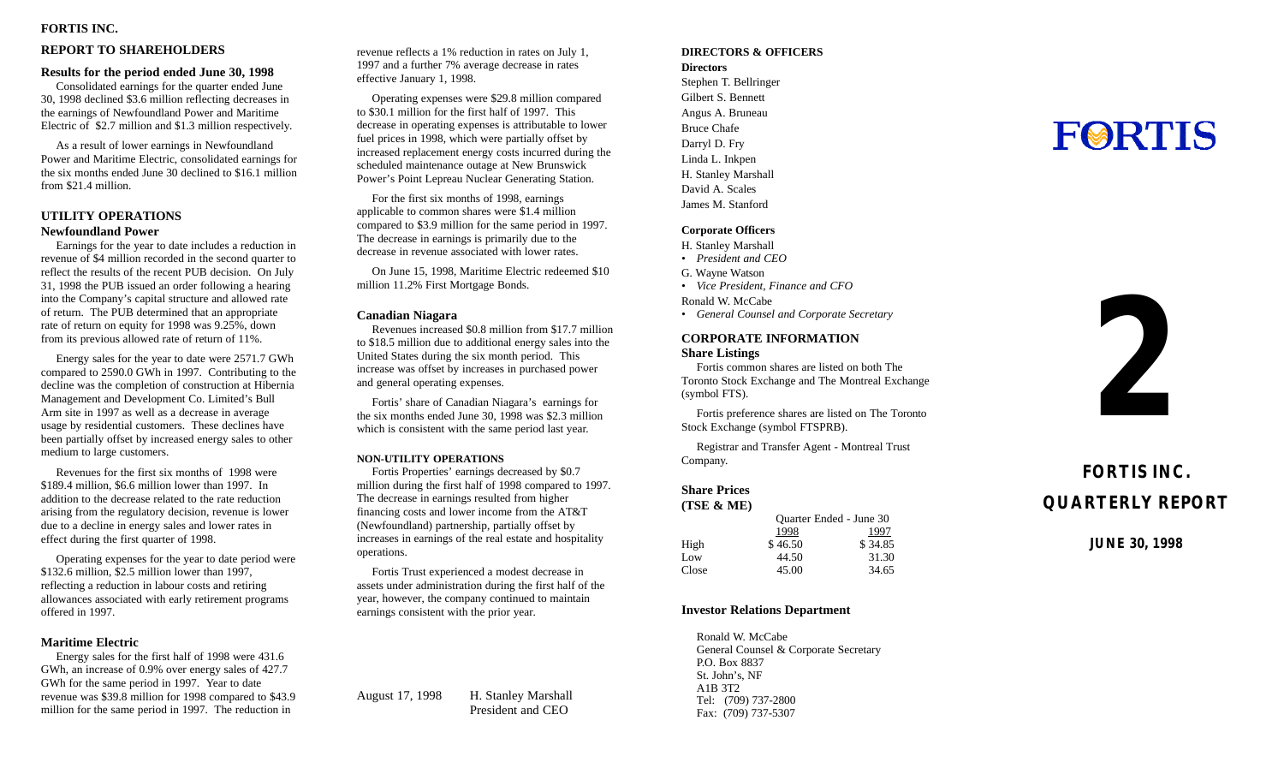## **FORTIS INC .**

## **REPORT TO SHAREHOLDER S**

## **Results for the period ended June 30, 199 8**

Consolidated earnings for the quarter ended Jun e 30, 1998 declined \$3.6 million reflecting decreases i n the earnings of Newfoundland Power and Maritim e Electric of \$2.7 million and \$1.3 million respectively.

As a result of lower earnings in Newfoundlan d Power and Maritime Electric, consolidated earnings fo r the six months ended June 30 declined to \$16.1 millio n from \$21.4 million .

## **UTILITY OPERATION S Newfoundland Powe r**

Earnings for the year to date includes a reduction i n revenue of \$4 million recorded in the second quarter t o reflect the results of the recent PUB decision. On Jul y 31, 1998 the PUB issued an order following a hearin g into the Company's capital structure and allowed rat e of return. The PUB determined that an appropriat e rate of return on equity for 1998 was 9.25%, dow n from its previous allowed rate of return of 11% .

Energy sales for the year to date were 2571.7 GW h compared to 2590.0 GWh in 1997. Contributing to th e decline was the completion of construction at Hiberni a Management and Development Co. Limited's Bul l Arm site in 1997 as well as a decrease in averag e usage by residential customers. These declines hav e been partially offset by increased energy sales to othe r medium to large customers.

Revenues for the first six months of 1998 wer e \$189.4 million, \$6.6 million lower than 1997. I n addition to the decrease related to the rate reductio n arising from the regulatory decision, revenue is lowe r due to a decline in energy sales and lower rates i n effect during the first quarter of 1998 .

Operating expenses for the year to date period wer e \$132.6 million, \$2.5 million lower than 1997 , reflecting a reduction in labour costs and retirin g allowances associated with early retirement program s offered in 1997.

## **Maritime Electri c**

Energy sales for the first half of 1998 were 431. 6 GWh, an increase of 0.9% over energy sales of 427. 7 GWh for the same period in 1997. Year to dat e revenue was \$39.8 million for 1998 compared to \$43. 9 million for the same period in 1997. The reduction i n

revenue reflects a 1% reduction in rates on July 1 , 1997 and a further 7% average decrease in rate s effective January 1, 1998.

Operating expenses were \$29.8 million compare d to \$30.1 million for the first half of 1997. Thi s decrease in operating expenses is attributable to lower fuel prices in 1998, which were partially offset b y increased replacement energy costs incurred during th e scheduled maintenance outage at New Brunswic k Power's Point Lepreau Nuclear Generating Station.

For the first six months of 1998, earning s applicable to common shares were \$1.4 millio n compared to \$3.9 million for the same period in 1997 . The decrease in earnings is primarily due to th e decrease in revenue associated with lower rates.

On June 15, 1998, Maritime Electric redeemed \$1 0 million 11.2% First Mortgage Bonds .

### **Canadian Niagar a**

Revenues increased \$0.8 million from \$17.7 millio n to \$18.5 million due to additional energy sales into th e United States during the six month period. Thi s increase was offset by increases in purchased powe r and general operating expenses.

Fortis' share of Canadian Niagara's earnings fo r the six months ended June 30, 1998 was \$2.3 millio n which is consistent with the same period last year.

#### **NON-UTILITY OPERATION S**

Fortis Properties' earnings decreased by \$0. 7 million during the first half of 1998 compared to 1997 . The decrease in earnings resulted from highe r financing costs and lower income from the AT& T (Newfoundland) partnership, partially offset b y increases in earnings of the real estate and hospitalit y operations.

Fortis Trust experienced a modest decrease i n assets under administration during the first half of th e year, however, the company continued to maintai n earnings consistent with the prior year.

August 17, 199 8 H. Stanley Marshal l President and CE O

## **DIRECTORS & OFFICER S Director s**

Stephen T. Bellringe r Gilbert S. Bennet t Angus A. Brunea u Bruce Chafe Darryl D. Fr y Linda L. Inkpe n H. Stanley Marshal l David A. Scale s James M. Stanfor d

## **Corporate Officer s**

- H. Stanley Marshal l
- *• President and CEO*
- G. Wayne Watso n
- *• Vice President, Finance and CF O*

Ronald W. McCab e

*• General Counsel and Corporate Secretary*

## **CORPORATE INFORMATIO N**

**Share Listing s**

Fortis common shares are listed on both Th e Toronto Stock Exchange and The Montreal Exchang e (symbol FTS) .

Fortis preference shares are listed on The Toronto Stock Exchange (symbol FTSPRB) .

Registrar and Transfer Agent - Montreal Trus t Company.

## **Share Price s**

| (TSE & ME) |         |                         |
|------------|---------|-------------------------|
|            |         | Quarter Ended - June 30 |
|            | 1998    | 1997                    |
| High       | \$46.50 | \$34.85                 |
| Low        | 44.50   | 31.30                   |
| Close      | 45.00   | 34.65                   |
|            |         |                         |

## **Investor Relations Departmen t**

Ronald W. McCab e General Counsel & Corporate Secretar y P.O. Box 883 7 St. John's, N F A1B 3T 2 Tel: (709) 737-280 0 Fax: (709) 737-530 7

# **FORTIS**



## **FORTIS INC . QUARTERLY REPOR T**

**JUNE 30, 199 8**